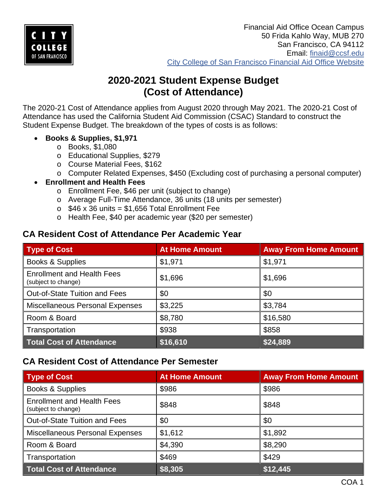

# **2020-2021 Student Expense Budget (Cost of Attendance)**

The 2020-21 Cost of Attendance applies from August 2020 through May 2021. The 2020-21 Cost of Attendance has used the California Student Aid Commission (CSAC) Standard to construct the Student Expense Budget. The breakdown of the types of costs is as follows:

- **Books & Supplies, \$1,971**
	- o Books, \$1,080
	- o Educational Supplies, \$279
	- o Course Material Fees, \$162
	- o Computer Related Expenses, \$450 (Excluding cost of purchasing a personal computer)
- **Enrollment and Health Fees**
	- o Enrollment Fee, \$46 per unit (subject to change)
	- o Average Full-Time Attendance, 36 units (18 units per semester)
	- $\circ$  \$46 x 36 units = \$1,656 Total Enrollment Fee
	- o Health Fee, \$40 per academic year (\$20 per semester)

#### **CA Resident Cost of Attendance Per Academic Year**

| <b>Type of Cost</b>                                      | <b>At Home Amount</b> | <b>Away From Home Amount</b> |
|----------------------------------------------------------|-----------------------|------------------------------|
| <b>Books &amp; Supplies</b>                              | \$1,971               | \$1,971                      |
| <b>Enrollment and Health Fees</b><br>(subject to change) | \$1,696               | \$1,696                      |
| <b>Out-of-State Tuition and Fees</b>                     | \$0                   | \$0                          |
| <b>Miscellaneous Personal Expenses</b>                   | \$3,225               | \$3,784                      |
| Room & Board                                             | \$8,780               | \$16,580                     |
| Transportation                                           | \$938                 | \$858                        |
| <b>Total Cost of Attendance</b>                          | \$16,610              | \$24,889                     |

### **CA Resident Cost of Attendance Per Semester**

| <b>Type of Cost</b>                                      | <b>At Home Amount</b> | <b>Away From Home Amount</b> |
|----------------------------------------------------------|-----------------------|------------------------------|
| <b>Books &amp; Supplies</b>                              | \$986                 | \$986                        |
| <b>Enrollment and Health Fees</b><br>(subject to change) | \$848                 | \$848                        |
| <b>Out-of-State Tuition and Fees</b>                     | \$0                   | \$0                          |
| <b>Miscellaneous Personal Expenses</b>                   | \$1,612               | \$1,892                      |
| Room & Board                                             | \$4,390               | \$8,290                      |
| Transportation                                           | \$469                 | \$429                        |
| <b>Total Cost of Attendance</b>                          | \$8,305               | \$12,445                     |